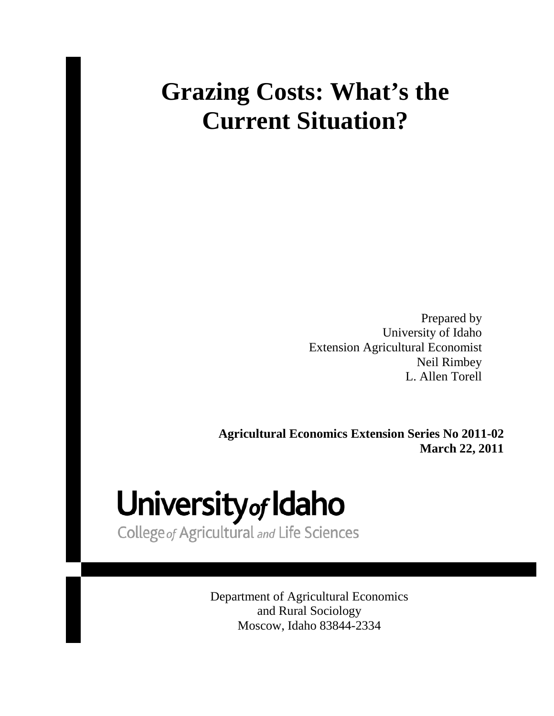## **Grazing Costs: What's the Current Situation?**

Prepared by University of Idaho Extension Agricultural Economist Neil Rimbey L. Allen Torell

**Agricultural Economics Extension Series No 2011-02 March 22, 2011**

# University of Idaho

College of Agricultural and Life Sciences

Department of Agricultural Economics and Rural Sociology Moscow, Idaho 83844-2334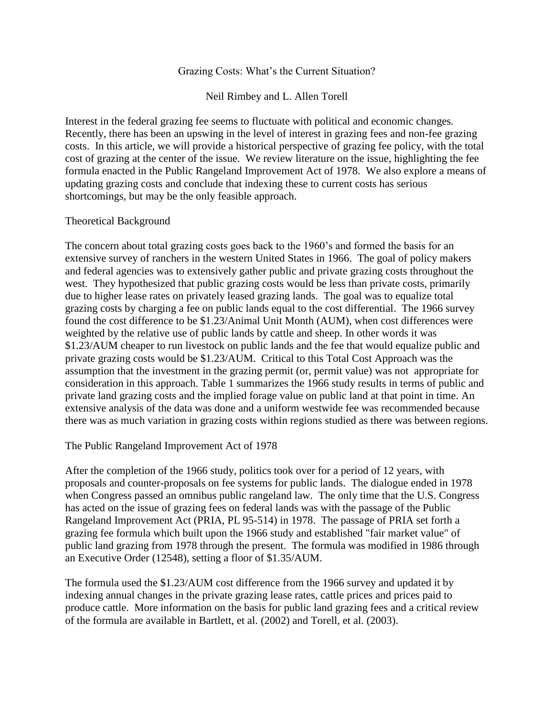#### Grazing Costs: What's the Current Situation?

Neil Rimbey and L. Allen Torell

Interest in the federal grazing fee seems to fluctuate with political and economic changes. Recently, there has been an upswing in the level of interest in grazing fees and non-fee grazing costs. In this article, we will provide a historical perspective of grazing fee policy, with the total cost of grazing at the center of the issue. We review literature on the issue, highlighting the fee formula enacted in the Public Rangeland Improvement Act of 1978. We also explore a means of updating grazing costs and conclude that indexing these to current costs has serious shortcomings, but may be the only feasible approach.

#### Theoretical Background

The concern about total grazing costs goes back to the 1960's and formed the basis for an extensive survey of ranchers in the western United States in 1966. The goal of policy makers and federal agencies was to extensively gather public and private grazing costs throughout the west. They hypothesized that public grazing costs would be less than private costs, primarily due to higher lease rates on privately leased grazing lands. The goal was to equalize total grazing costs by charging a fee on public lands equal to the cost differential. The 1966 survey found the cost difference to be \$1.23/Animal Unit Month (AUM), when cost differences were weighted by the relative use of public lands by cattle and sheep. In other words it was \$1.23/AUM cheaper to run livestock on public lands and the fee that would equalize public and private grazing costs would be \$1.23/AUM. Critical to this Total Cost Approach was the assumption that the investment in the grazing permit (or, permit value) was not appropriate for consideration in this approach. Table 1 summarizes the 1966 study results in terms of public and private land grazing costs and the implied forage value on public land at that point in time. An extensive analysis of the data was done and a uniform westwide fee was recommended because there was as much variation in grazing costs within regions studied as there was between regions.

#### The Public Rangeland Improvement Act of 1978

After the completion of the 1966 study, politics took over for a period of 12 years, with proposals and counter-proposals on fee systems for public lands. The dialogue ended in 1978 when Congress passed an omnibus public rangeland law. The only time that the U.S. Congress has acted on the issue of grazing fees on federal lands was with the passage of the Public Rangeland Improvement Act (PRIA, PL 95-514) in 1978. The passage of PRIA set forth a grazing fee formula which built upon the 1966 study and established "fair market value" of public land grazing from 1978 through the present. The formula was modified in 1986 through an Executive Order (12548), setting a floor of \$1.35/AUM.

The formula used the \$1.23/AUM cost difference from the 1966 survey and updated it by indexing annual changes in the private grazing lease rates, cattle prices and prices paid to produce cattle. More information on the basis for public land grazing fees and a critical review of the formula are available in Bartlett, et al. (2002) and Torell, et al. (2003).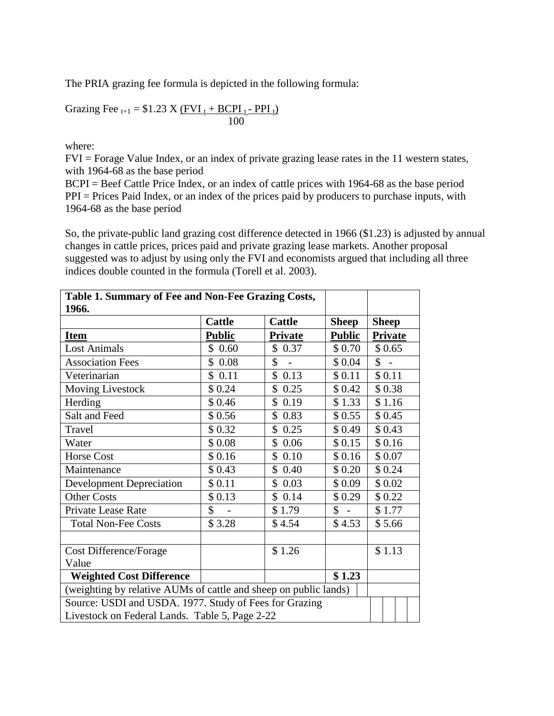The PRIA grazing fee formula is depicted in the following formula:

Grazing Fee<sub>t+1</sub> = \$1.23 X 
$$
\frac{(FVI_t + BCPI_t - PPI_t)}{100}
$$

where:

FVI = Forage Value Index, or an index of private grazing lease rates in the 11 western states, with 1964-68 as the base period

BCPI = Beef Cattle Price Index, or an index of cattle prices with 1964-68 as the base period PPI = Prices Paid Index, or an index of the prices paid by producers to purchase inputs, with 1964-68 as the base period

So, the private-public land grazing cost difference detected in 1966 (\$1.23) is adjusted by annual changes in cattle prices, prices paid and private grazing lease markets. Another proposal suggested was to adjust by using only the FVI and economists argued that including all three indices double counted in the formula (Torell et al. 2003).

| Table 1. Summary of Fee and Non-Fee Grazing Costs,               |               |                                |                          |                      |  |  |  |  |  |  |
|------------------------------------------------------------------|---------------|--------------------------------|--------------------------|----------------------|--|--|--|--|--|--|
| 1966.                                                            |               |                                |                          |                      |  |  |  |  |  |  |
|                                                                  | <b>Cattle</b> | <b>Cattle</b>                  | <b>Sheep</b>             | <b>Sheep</b>         |  |  |  |  |  |  |
| <b>Item</b>                                                      | <b>Public</b> | <b>Private</b>                 | <b>Public</b>            | <b>Private</b>       |  |  |  |  |  |  |
| <b>Lost Animals</b>                                              | \$0.60        | \$0.37                         | \$0.70                   | \$0.65               |  |  |  |  |  |  |
| <b>Association Fees</b>                                          | \$0.08        | \$<br>$\overline{\phantom{a}}$ | \$0.04                   | $\hat{\mathbb{S}}$ - |  |  |  |  |  |  |
| Veterinarian                                                     | \$0.11        | \$0.13                         | \$0.11                   | \$0.11               |  |  |  |  |  |  |
| <b>Moving Livestock</b>                                          | \$0.24        | \$0.25                         | \$0.42                   | \$0.38               |  |  |  |  |  |  |
| Herding                                                          | \$0.46        | \$0.19                         | \$1.33                   | \$1.16               |  |  |  |  |  |  |
| Salt and Feed                                                    | \$0.56        | \$0.83                         | \$0.55                   | \$0.45               |  |  |  |  |  |  |
| Travel                                                           | \$0.32        | \$0.25                         | \$0.49                   | \$0.43               |  |  |  |  |  |  |
| Water                                                            | \$0.08        | \$0.06                         | \$0.15                   | \$0.16               |  |  |  |  |  |  |
| <b>Horse Cost</b>                                                | \$0.16        | \$0.10                         | \$0.16                   | \$0.07               |  |  |  |  |  |  |
| Maintenance                                                      | \$0.43        | \$0.40                         | \$0.20                   | \$0.24               |  |  |  |  |  |  |
| <b>Development Depreciation</b>                                  | \$0.11        | \$0.03                         | \$0.09                   | \$0.02               |  |  |  |  |  |  |
| <b>Other Costs</b>                                               | \$0.13        | \$0.14                         | \$0.29                   | \$0.22               |  |  |  |  |  |  |
| Private Lease Rate                                               | \$            | \$1.79                         | $\mathbb{S}$ -<br>\$1.77 |                      |  |  |  |  |  |  |
| <b>Total Non-Fee Costs</b>                                       | \$3.28        | \$4.54                         | \$4.53                   | \$5.66               |  |  |  |  |  |  |
|                                                                  |               |                                |                          |                      |  |  |  |  |  |  |
| Cost Difference/Forage                                           |               | \$1.26                         |                          | \$1.13               |  |  |  |  |  |  |
| Value                                                            |               |                                |                          |                      |  |  |  |  |  |  |
| <b>Weighted Cost Difference</b>                                  |               |                                | \$1.23                   |                      |  |  |  |  |  |  |
| (weighting by relative AUMs of cattle and sheep on public lands) |               |                                |                          |                      |  |  |  |  |  |  |
| Source: USDI and USDA. 1977. Study of Fees for Grazing           |               |                                |                          |                      |  |  |  |  |  |  |
| Livestock on Federal Lands. Table 5, Page 2-22                   |               |                                |                          |                      |  |  |  |  |  |  |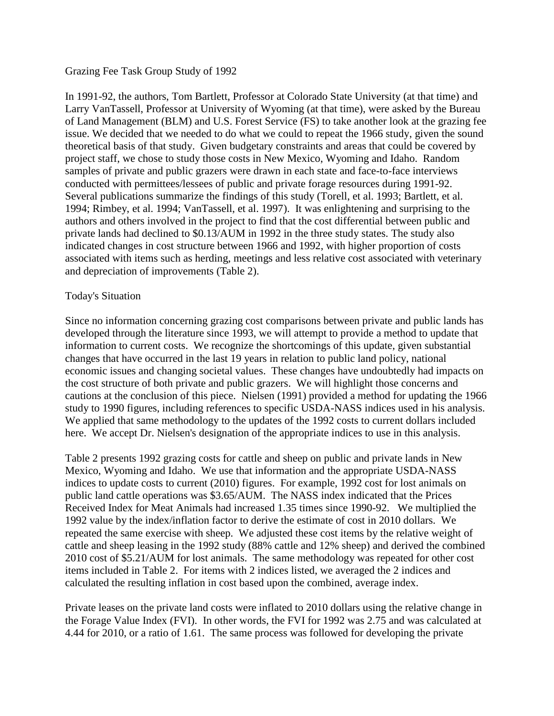#### Grazing Fee Task Group Study of 1992

In 1991-92, the authors, Tom Bartlett, Professor at Colorado State University (at that time) and Larry VanTassell, Professor at University of Wyoming (at that time), were asked by the Bureau of Land Management (BLM) and U.S. Forest Service (FS) to take another look at the grazing fee issue. We decided that we needed to do what we could to repeat the 1966 study, given the sound theoretical basis of that study. Given budgetary constraints and areas that could be covered by project staff, we chose to study those costs in New Mexico, Wyoming and Idaho. Random samples of private and public grazers were drawn in each state and face-to-face interviews conducted with permittees/lessees of public and private forage resources during 1991-92. Several publications summarize the findings of this study (Torell, et al. 1993; Bartlett, et al. 1994; Rimbey, et al. 1994; VanTassell, et al. 1997). It was enlightening and surprising to the authors and others involved in the project to find that the cost differential between public and private lands had declined to \$0.13/AUM in 1992 in the three study states. The study also indicated changes in cost structure between 1966 and 1992, with higher proportion of costs associated with items such as herding, meetings and less relative cost associated with veterinary and depreciation of improvements (Table 2).

#### Today's Situation

Since no information concerning grazing cost comparisons between private and public lands has developed through the literature since 1993, we will attempt to provide a method to update that information to current costs. We recognize the shortcomings of this update, given substantial changes that have occurred in the last 19 years in relation to public land policy, national economic issues and changing societal values. These changes have undoubtedly had impacts on the cost structure of both private and public grazers. We will highlight those concerns and cautions at the conclusion of this piece. Nielsen (1991) provided a method for updating the 1966 study to 1990 figures, including references to specific USDA-NASS indices used in his analysis. We applied that same methodology to the updates of the 1992 costs to current dollars included here. We accept Dr. Nielsen's designation of the appropriate indices to use in this analysis.

Table 2 presents 1992 grazing costs for cattle and sheep on public and private lands in New Mexico, Wyoming and Idaho. We use that information and the appropriate USDA-NASS indices to update costs to current (2010) figures. For example, 1992 cost for lost animals on public land cattle operations was \$3.65/AUM. The NASS index indicated that the Prices Received Index for Meat Animals had increased 1.35 times since 1990-92. We multiplied the 1992 value by the index/inflation factor to derive the estimate of cost in 2010 dollars. We repeated the same exercise with sheep. We adjusted these cost items by the relative weight of cattle and sheep leasing in the 1992 study (88% cattle and 12% sheep) and derived the combined 2010 cost of \$5.21/AUM for lost animals. The same methodology was repeated for other cost items included in Table 2. For items with 2 indices listed, we averaged the 2 indices and calculated the resulting inflation in cost based upon the combined, average index.

Private leases on the private land costs were inflated to 2010 dollars using the relative change in the Forage Value Index (FVI). In other words, the FVI for 1992 was 2.75 and was calculated at 4.44 for 2010, or a ratio of 1.61. The same process was followed for developing the private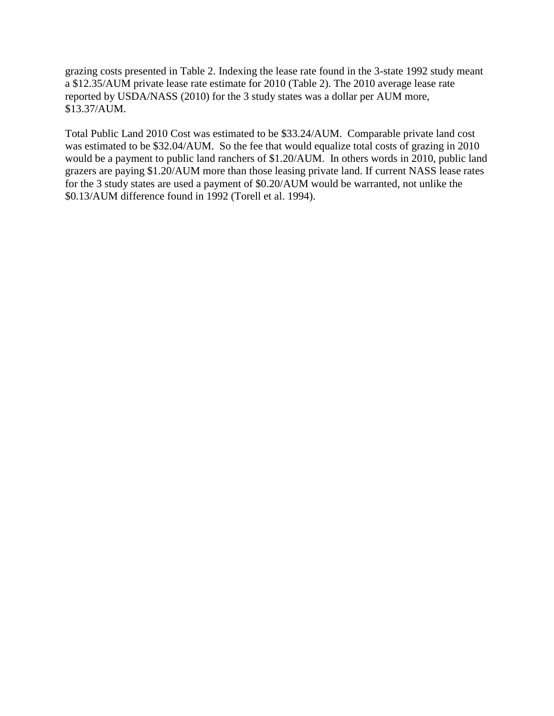grazing costs presented in Table 2. Indexing the lease rate found in the 3-state 1992 study meant a \$12.35/AUM private lease rate estimate for 2010 (Table 2). The 2010 average lease rate reported by USDA/NASS (2010) for the 3 study states was a dollar per AUM more, \$13.37/AUM.

Total Public Land 2010 Cost was estimated to be \$33.24/AUM. Comparable private land cost was estimated to be \$32.04/AUM. So the fee that would equalize total costs of grazing in 2010 would be a payment to public land ranchers of \$1.20/AUM. In others words in 2010, public land grazers are paying \$1.20/AUM more than those leasing private land. If current NASS lease rates for the 3 study states are used a payment of \$0.20/AUM would be warranted, not unlike the \$0.13/AUM difference found in 1992 (Torell et al. 1994).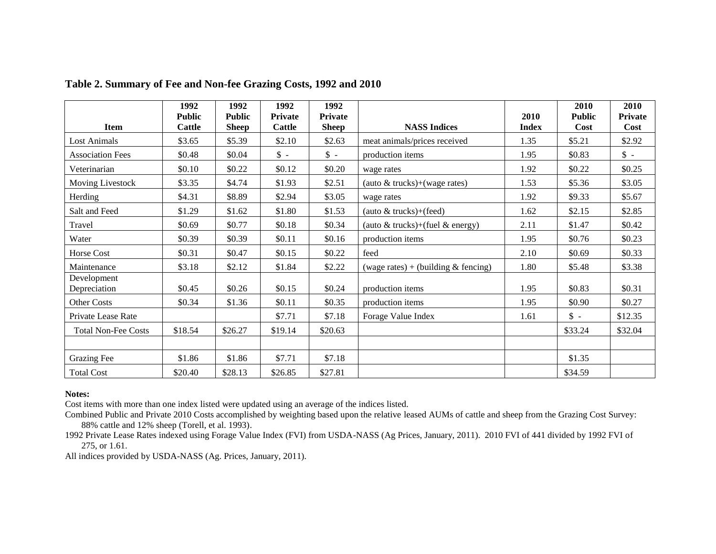|                            | 1992          | 1992          | 1992         | 1992         |                                       |              | 2010          | 2010         |
|----------------------------|---------------|---------------|--------------|--------------|---------------------------------------|--------------|---------------|--------------|
|                            | <b>Public</b> | <b>Public</b> | Private      | Private      |                                       | 2010         | <b>Public</b> | Private      |
| <b>Item</b>                | <b>Cattle</b> | <b>Sheep</b>  | Cattle       | <b>Sheep</b> | <b>NASS Indices</b>                   | <b>Index</b> | Cost          | Cost         |
| <b>Lost Animals</b>        | \$3.65        | \$5.39        | \$2.10       | \$2.63       | meat animals/prices received          | 1.35         | \$5.21        | \$2.92       |
| <b>Association Fees</b>    | \$0.48        | \$0.04        | $\uparrow$ - | $\uparrow$ - | production items                      | 1.95         | \$0.83        | $\uparrow$ - |
| Veterinarian               | \$0.10        | \$0.22        | \$0.12       | \$0.20       | wage rates                            | 1.92         | \$0.22        | \$0.25       |
| Moving Livestock           | \$3.35        | \$4.74        | \$1.93       | \$2.51       | (auto & trucks)+(wage rates)          | 1.53         | \$5.36        | \$3.05       |
| Herding                    | \$4.31        | \$8.89        | \$2.94       | \$3.05       | wage rates                            | 1.92         | \$9.33        | \$5.67       |
| Salt and Feed              | \$1.29        | \$1.62        | \$1.80       | \$1.53       | (auto $&$ trucks)+(feed)              | 1.62         | \$2.15        | \$2.85       |
| Travel                     | \$0.69        | \$0.77        | \$0.18       | \$0.34       | (auto $&$ trucks)+(fuel $&$ energy)   | 2.11         | \$1.47        | \$0.42       |
| Water                      | \$0.39        | \$0.39        | \$0.11       | \$0.16       | production items                      | 1.95         | \$0.76        | \$0.23       |
| Horse Cost                 | \$0.31        | \$0.47        | \$0.15       | \$0.22       | feed                                  | 2.10         | \$0.69        | \$0.33       |
| Maintenance                | \$3.18        | \$2.12        | \$1.84       | \$2.22       | (wage rates) + (building $&$ fencing) | 1.80         | \$5.48        | \$3.38       |
| Development                |               |               |              |              |                                       |              |               |              |
| Depreciation               | \$0.45        | \$0.26        | \$0.15       | \$0.24       | production items                      | 1.95         | \$0.83        | \$0.31       |
| Other Costs                | \$0.34        | \$1.36        | \$0.11       | \$0.35       | production items                      | 1.95         | \$0.90        | \$0.27       |
| Private Lease Rate         |               |               | \$7.71       | \$7.18       | Forage Value Index                    | 1.61         | $\uparrow$ -  | \$12.35      |
| <b>Total Non-Fee Costs</b> | \$18.54       | \$26.27       | \$19.14      | \$20.63      |                                       |              | \$33.24       | \$32.04      |
|                            |               |               |              |              |                                       |              |               |              |
| <b>Grazing Fee</b>         | \$1.86        | \$1.86        | \$7.71       | \$7.18       |                                       |              | \$1.35        |              |
| <b>Total Cost</b>          | \$20.40       | \$28.13       | \$26.85      | \$27.81      |                                       |              | \$34.59       |              |

### **Table 2. Summary of Fee and Non-fee Grazing Costs, 1992 and 2010**

#### **Notes:**

Cost items with more than one index listed were updated using an average of the indices listed.

Combined Public and Private 2010 Costs accomplished by weighting based upon the relative leased AUMs of cattle and sheep from the Grazing Cost Survey: 88% cattle and 12% sheep (Torell, et al. 1993).

1992 Private Lease Rates indexed using Forage Value Index (FVI) from USDA-NASS (Ag Prices, January, 2011). 2010 FVI of 441 divided by 1992 FVI of 275, or 1.61.

All indices provided by USDA-NASS (Ag. Prices, January, 2011).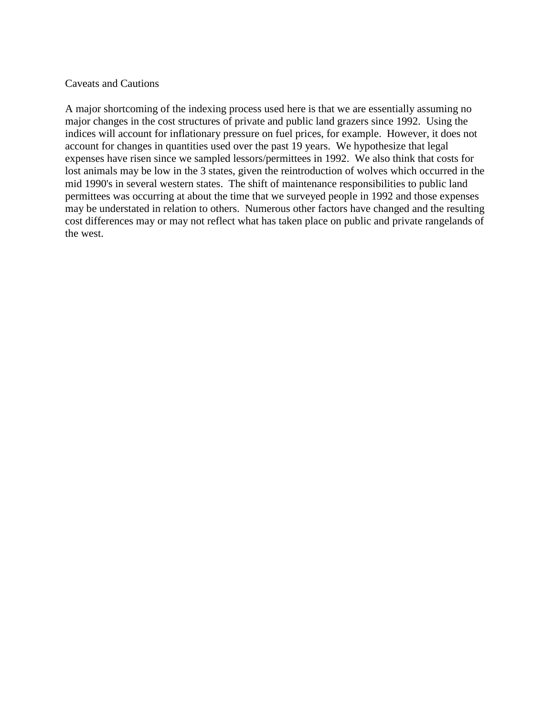#### Caveats and Cautions

A major shortcoming of the indexing process used here is that we are essentially assuming no major changes in the cost structures of private and public land grazers since 1992. Using the indices will account for inflationary pressure on fuel prices, for example. However, it does not account for changes in quantities used over the past 19 years. We hypothesize that legal expenses have risen since we sampled lessors/permittees in 1992. We also think that costs for lost animals may be low in the 3 states, given the reintroduction of wolves which occurred in the mid 1990's in several western states. The shift of maintenance responsibilities to public land permittees was occurring at about the time that we surveyed people in 1992 and those expenses may be understated in relation to others. Numerous other factors have changed and the resulting cost differences may or may not reflect what has taken place on public and private rangelands of the west.